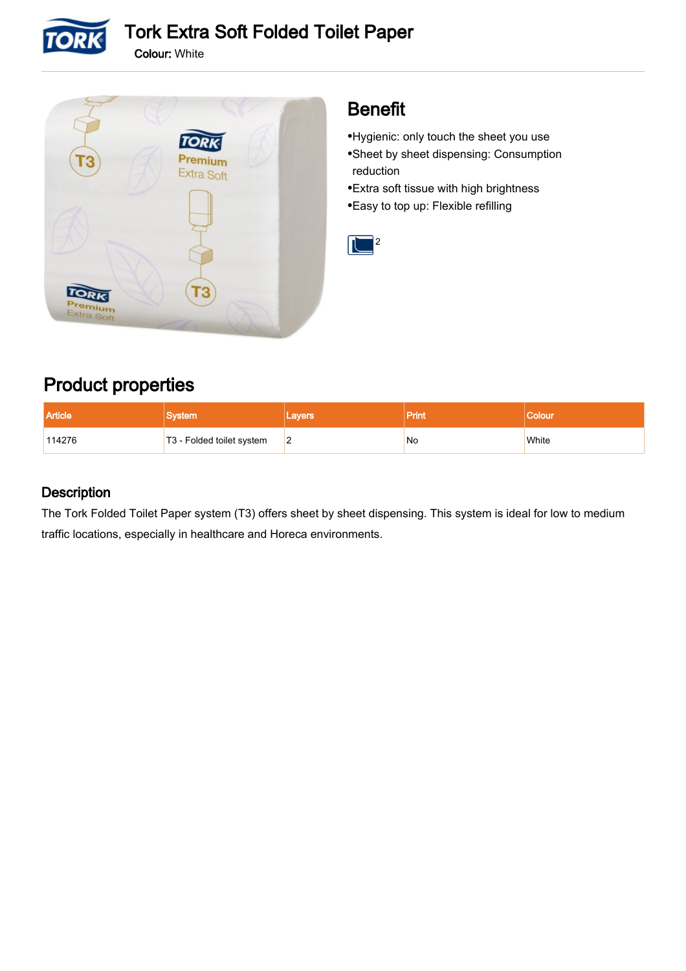

Colour: White



## Benefit

- •Hygienic: only touch the sheet you use Sheet by sheet dispensing: Consumption • reduction
- •Extra soft tissue with high brightness
- •Easy to top up: Flexible refilling



## Product properties

| <b>Article</b> |                           | Lavers | <b>Print</b> |       |
|----------------|---------------------------|--------|--------------|-------|
| 114276         | T3 - Folded toilet system | 12     | No           | White |

### **Description**

The Tork Folded Toilet Paper system (T3) offers sheet by sheet dispensing. This system is ideal for low to medium traffic locations, especially in healthcare and Horeca environments.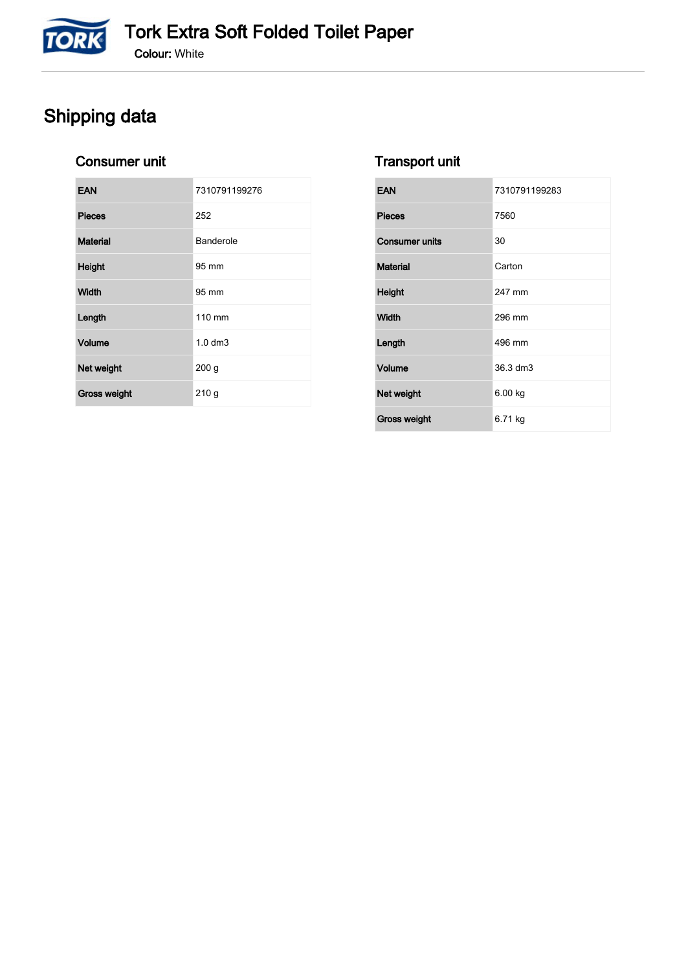# Shipping data

**TORK** 

### Consumer unit

| <b>EAN</b>      | 7310791199276    |
|-----------------|------------------|
| <b>Pieces</b>   | 252              |
| <b>Material</b> | Banderole        |
| Height          | 95 mm            |
| Width           | 95 mm            |
| Length          | 110 mm           |
| Volume          | $1.0 \text{ dm}$ |
| Net weight      | 200 <sub>g</sub> |
| Gross weight    | 210g             |

### Transport unit

| <b>EAN</b>            | 7310791199283 |
|-----------------------|---------------|
| <b>Pieces</b>         | 7560          |
| <b>Consumer units</b> | 30            |
| <b>Material</b>       | Carton        |
| <b>Height</b>         | 247 mm        |
| Width                 | 296 mm        |
| Length                | 496 mm        |
| <b>Volume</b>         | 36.3 dm3      |
| Net weight            | 6.00 kg       |
| <b>Gross weight</b>   | 6.71 kg       |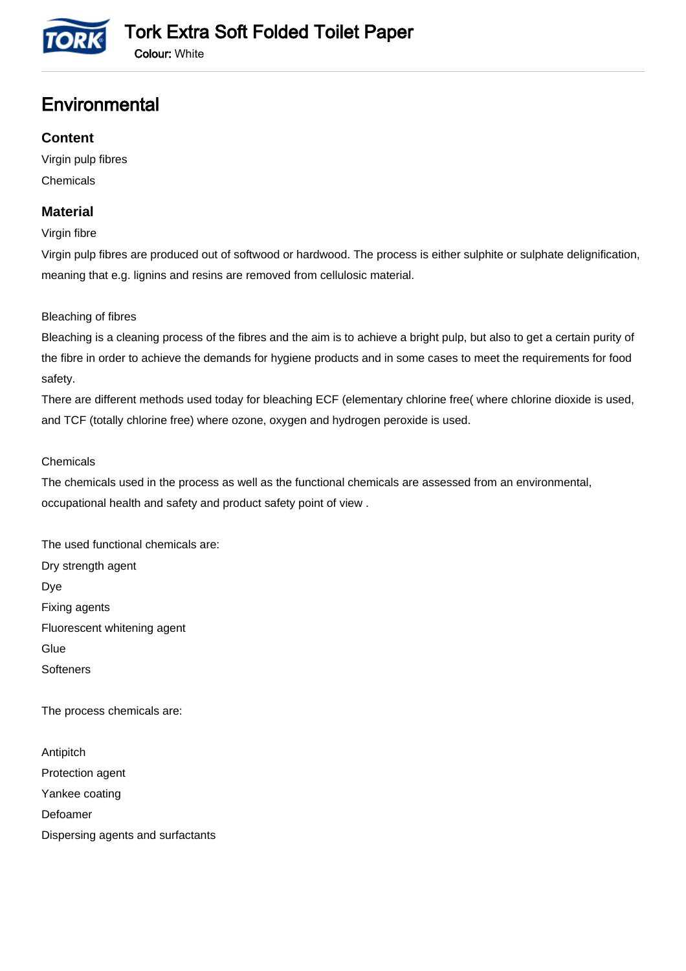

## **Environmental**

### **Content**

Virgin pulp fibres Chemicals

### **Material**

Virgin fibre

Virgin pulp fibres are produced out of softwood or hardwood. The process is either sulphite or sulphate delignification, meaning that e.g. lignins and resins are removed from cellulosic material.

Bleaching of fibres

Bleaching is a cleaning process of the fibres and the aim is to achieve a bright pulp, but also to get a certain purity of the fibre in order to achieve the demands for hygiene products and in some cases to meet the requirements for food safety.

There are different methods used today for bleaching ECF (elementary chlorine free( where chlorine dioxide is used, and TCF (totally chlorine free) where ozone, oxygen and hydrogen peroxide is used.

#### **Chemicals**

The chemicals used in the process as well as the functional chemicals are assessed from an environmental, occupational health and safety and product safety point of view .

The used functional chemicals are: Dry strength agent Dye Fixing agents Fluorescent whitening agent **Glue Softeners** 

The process chemicals are:

Antipitch Protection agent Yankee coating Defoamer Dispersing agents and surfactants